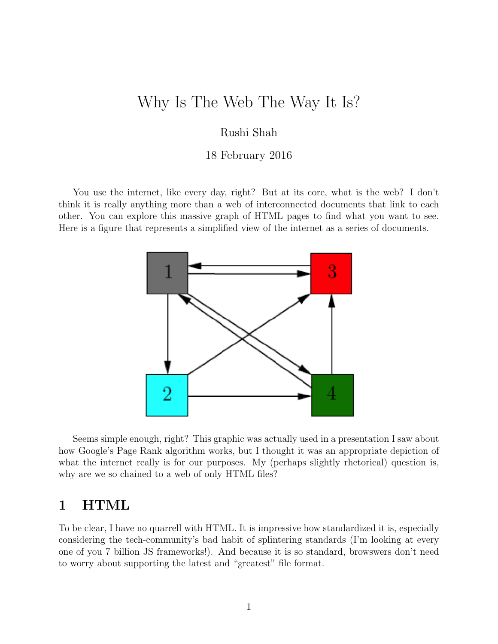# Why Is The Web The Way It Is?

#### Rushi Shah

#### 18 February 2016

You use the internet, like every day, right? But at its core, what is the web? I don't think it is really anything more than a web of interconnected documents that link to each other. You can explore this massive graph of HTML pages to find what you want to see. Here is a figure that represents a simplified view of the internet as a series of documents.



Seems simple enough, right? This graphic was actually used in a presentation I saw about how Google's Page Rank algorithm works, but I thought it was an appropriate depiction of what the internet really is for our purposes. My (perhaps slightly rhetorical) question is, why are we so chained to a web of only HTML files?

### 1 HTML

To be clear, I have no quarrell with HTML. It is impressive how standardized it is, especially considering the tech-community's bad habit of splintering standards (I'm looking at every one of you 7 billion JS frameworks!). And because it is so standard, browswers don't need to worry about supporting the latest and "greatest" file format.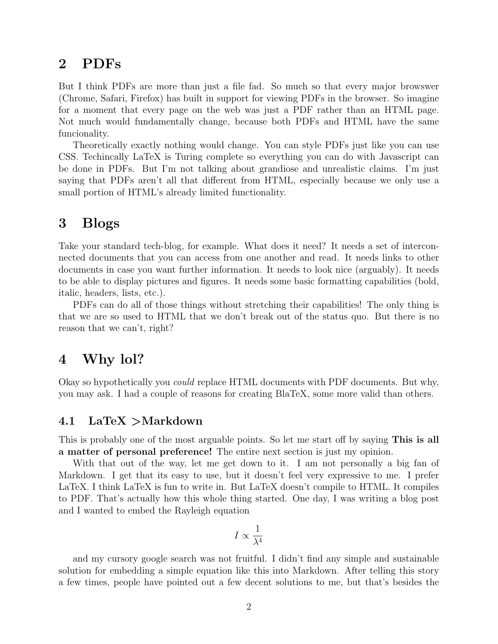### 2 PDFs

But I think PDFs are more than just a file fad. So much so that every major browswer (Chrome, Safari, Firefox) has built in support for viewing PDFs in the browser. So imagine for a moment that every page on the web was just a PDF rather than an HTML page. Not much would fundamentally change, because both PDFs and HTML have the same funcionality.

Theoretically exactly nothing would change. You can style PDFs just like you can use CSS. Techincally LaTeX is Turing complete so everything you can do with Javascript can be done in PDFs. But I'm not talking about grandiose and unrealistic claims. I'm just saying that PDFs aren't all that different from HTML, especially because we only use a small portion of HTML's already limited functionality.

### 3 Blogs

Take your standard tech-blog, for example. What does it need? It needs a set of interconnected documents that you can access from one another and read. It needs links to other documents in case you want further information. It needs to look nice (arguably). It needs to be able to display pictures and figures. It needs some basic formatting capabilities (bold, italic, headers, lists, etc.).

PDFs can do all of those things without stretching their capabilities! The only thing is that we are so used to HTML that we don't break out of the status quo. But there is no reason that we can't, right?

### 4 Why lol?

Okay so hypothetically you could replace HTML documents with PDF documents. But why, you may ask. I had a couple of reasons for creating BlaTeX, some more valid than others.

#### 4.1 LaTeX >Markdown

This is probably one of the most arguable points. So let me start off by saying This is all a matter of personal preference! The entire next section is just my opinion.

With that out of the way, let me get down to it. I am not personally a big fan of Markdown. I get that its easy to use, but it doesn't feel very expressive to me. I prefer LaTeX. I think LaTeX is fun to write in. But LaTeX doesn't compile to HTML. It compiles to PDF. That's actually how this whole thing started. One day, I was writing a blog post and I wanted to embed the Rayleigh equation

$$
I\propto\frac{1}{\lambda^4}
$$

and my cursory google search was not fruitful. I didn't find any simple and sustainable solution for embedding a simple equation like this into Markdown. After telling this story a few times, people have pointed out a few decent solutions to me, but that's besides the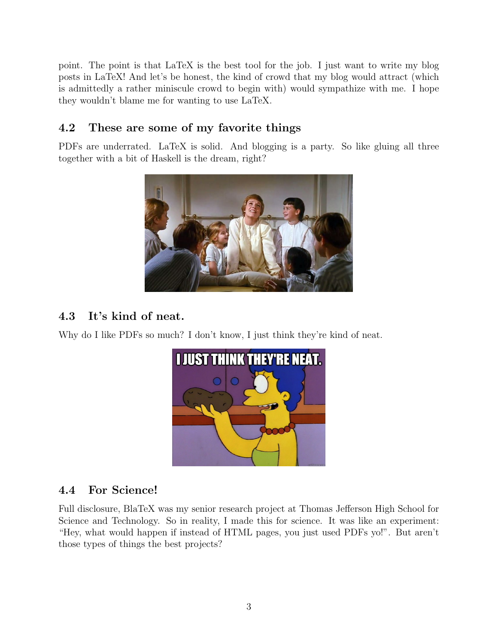point. The point is that LaTeX is the best tool for the job. I just want to write my blog posts in LaTeX! And let's be honest, the kind of crowd that my blog would attract (which is admittedly a rather miniscule crowd to begin with) would sympathize with me. I hope they wouldn't blame me for wanting to use LaTeX.

### 4.2 These are some of my favorite things

PDFs are underrated. LaTeX is solid. And blogging is a party. So like gluing all three together with a bit of Haskell is the dream, right?



## 4.3 It's kind of neat.

Why do I like PDFs so much? I don't know, I just think they're kind of neat.



### 4.4 For Science!

Full disclosure, BlaTeX was my senior research project at Thomas Jefferson High School for Science and Technology. So in reality, I made this for science. It was like an experiment: "Hey, what would happen if instead of HTML pages, you just used PDFs yo!". But aren't those types of things the best projects?